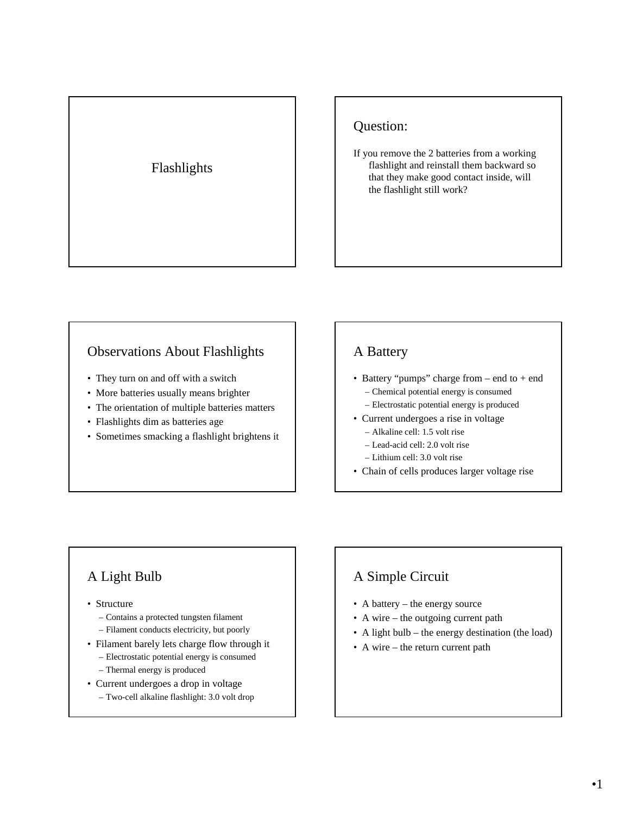## Flashlights

## Question:

If you remove the 2 batteries from a working flashlight and reinstall them backward so that they make good contact inside, will the flashlight still work?

### Observations About Flashlights

- They turn on and off with a switch
- More batteries usually means brighter
- The orientation of multiple batteries matters
- Flashlights dim as batteries age
- Sometimes smacking a flashlight brightens it

### A Battery

- Battery "pumps" charge from end to + end – Chemical potential energy is consumed
	- Electrostatic potential energy is produced
- Current undergoes a rise in voltage – Alkaline cell: 1.5 volt rise
	- Lead-acid cell: 2.0 volt rise
	- Lithium cell: 3.0 volt rise
- Chain of cells produces larger voltage rise

# A Light Bulb

- Structure
	- Contains a protected tungsten filament
	- Filament conducts electricity, but poorly
- Filament barely lets charge flow through it
	- Electrostatic potential energy is consumed
	- Thermal energy is produced
- Current undergoes a drop in voltage
	- Two-cell alkaline flashlight: 3.0 volt drop

# A Simple Circuit

- A battery the energy source
- A wire the outgoing current path
- A light bulb the energy destination (the load)
- A wire the return current path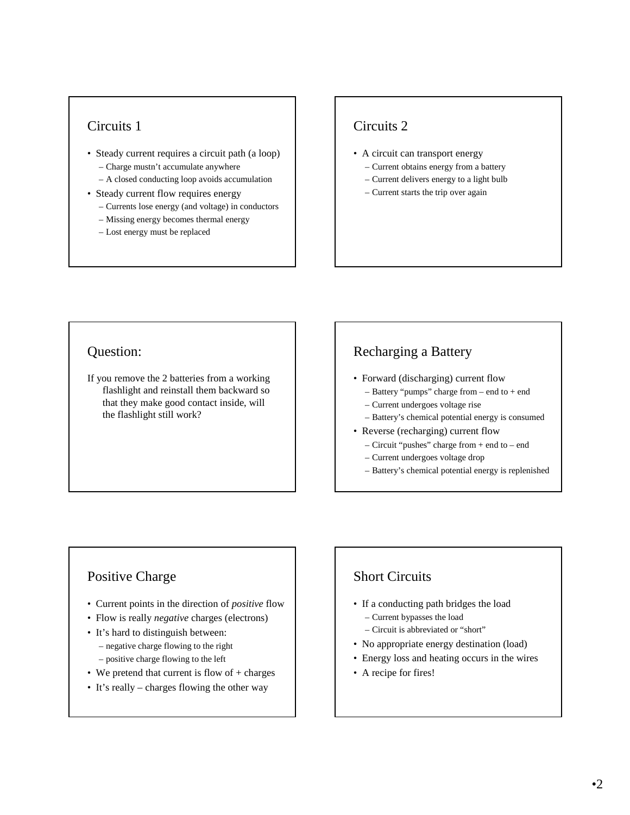### Circuits 1

- Steady current requires a circuit path (a loop) – Charge mustn't accumulate anywhere
	- A closed conducting loop avoids accumulation
- Steady current flow requires energy
	- Currents lose energy (and voltage) in conductors
	- Missing energy becomes thermal energy
	- Lost energy must be replaced

## Circuits 2

- A circuit can transport energy
	- Current obtains energy from a battery
	- Current delivers energy to a light bulb
	- Current starts the trip over again

#### Question:

If you remove the 2 batteries from a working flashlight and reinstall them backward so that they make good contact inside, will the flashlight still work?

## Recharging a Battery

- Forward (discharging) current flow
	- Battery "pumps" charge from end to + end
	- Current undergoes voltage rise
	- Battery's chemical potential energy is consumed
- Reverse (recharging) current flow
	- Circuit "pushes" charge from + end to end
	- Current undergoes voltage drop
	- Battery's chemical potential energy is replenished

#### Positive Charge

- Current points in the direction of *positive* flow
- Flow is really *negative* charges (electrons)
- It's hard to distinguish between:
	- negative charge flowing to the right
	- positive charge flowing to the left
- We pretend that current is flow of + charges
- It's really charges flowing the other way

### Short Circuits

- If a conducting path bridges the load
	- Current bypasses the load
	- Circuit is abbreviated or "short"
- No appropriate energy destination (load)
- Energy loss and heating occurs in the wires
- A recipe for fires!